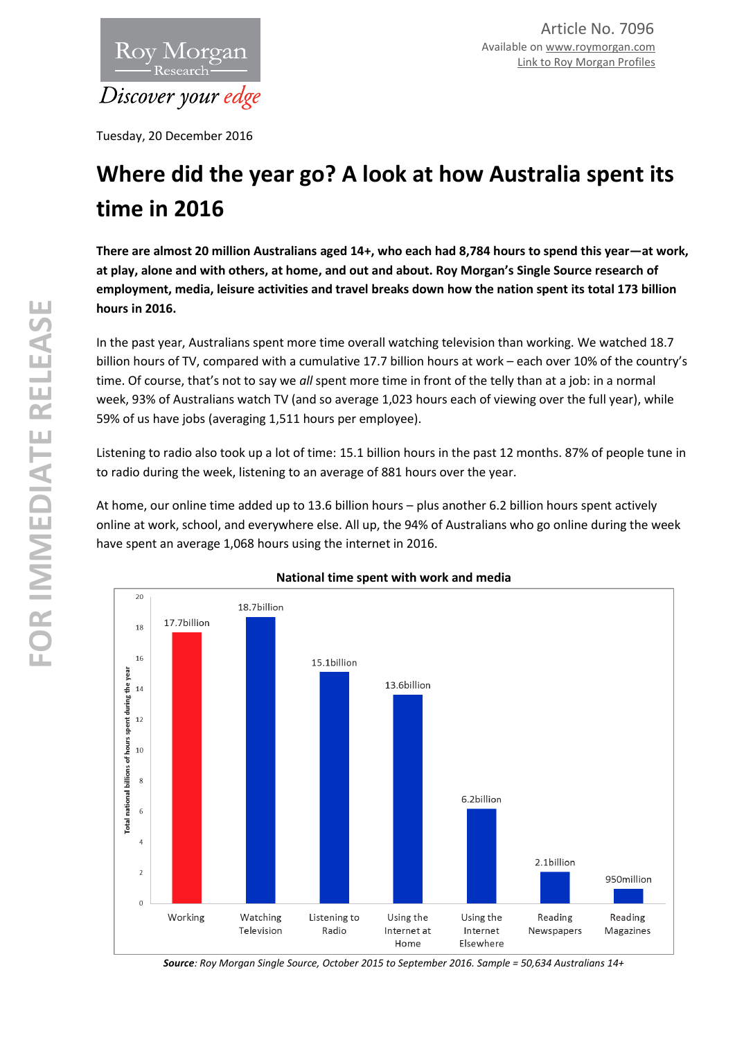

Tuesday, 20 December 2016

# **Where did the year go? A look at how Australia spent its time in 2016**

**There are almost 20 million Australians aged 14+, who each had 8,784 hours to spend this year—at work, at play, alone and with others, at home, and out and about. Roy Morgan's Single Source research of employment, media, leisure activities and travel breaks down how the nation spent its total 173 billion hours in 2016.** 

In the past year, Australians spent more time overall watching television than working. We watched 18.7 billion hours of TV, compared with a cumulative 17.7 billion hours at work – each over 10% of the country's time. Of course, that's not to say we *all* spent more time in front of the telly than at a job: in a normal week, 93% of Australians watch TV (and so average 1,023 hours each of viewing over the full year), while 59% of us have jobs (averaging 1,511 hours per employee).

Listening to radio also took up a lot of time: 15.1 billion hours in the past 12 months. 87% of people tune in to radio during the week, listening to an average of 881 hours over the year.

At home, our online time added up to 13.6 billion hours – plus another 6.2 billion hours spent actively online at work, school, and everywhere else. All up, the 94% of Australians who go online during the week have spent an average 1,068 hours using the internet in 2016.



# **National time spent with work and media**

*Source: Roy Morgan Single Source, October 2015 to September 2016. Sample = 50,634 Australians 14+*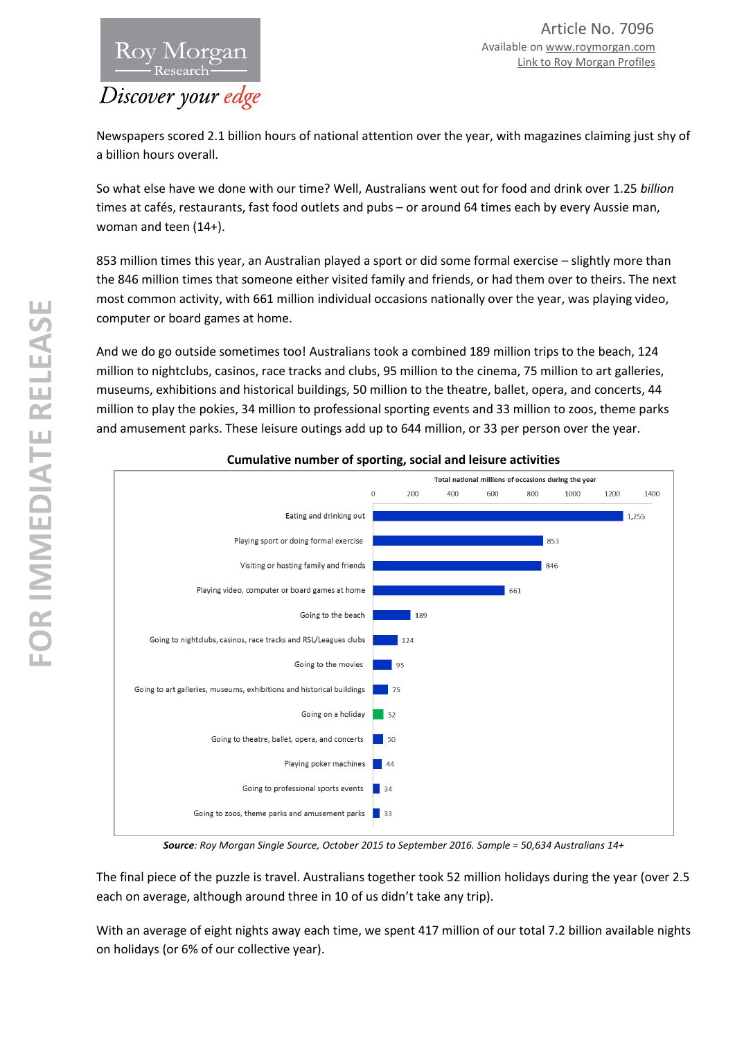

Newspapers scored 2.1 billion hours of national attention over the year, with magazines claiming just shy of a billion hours overall.

So what else have we done with our time? Well, Australians went out for food and drink over 1.25 *billion* times at cafés, restaurants, fast food outlets and pubs – or around 64 times each by every Aussie man, woman and teen (14+).

853 million times this year, an Australian played a sport or did some formal exercise – slightly more than the 846 million times that someone either visited family and friends, or had them over to theirs. The next most common activity, with 661 million individual occasions nationally over the year, was playing video, computer or board games at home.

And we do go outside sometimes too! Australians took a combined 189 million trips to the beach, 124 million to nightclubs, casinos, race tracks and clubs, 95 million to the cinema, 75 million to art galleries, museums, exhibitions and historical buildings, 50 million to the theatre, ballet, opera, and concerts, 44 million to play the pokies, 34 million to professional sporting events and 33 million to zoos, theme parks and amusement parks. These leisure outings add up to 644 million, or 33 per person over the year.



# **Cumulative number of sporting, social and leisure activities**

*Source: Roy Morgan Single Source, October 2015 to September 2016. Sample = 50,634 Australians 14+*

The final piece of the puzzle is travel. Australians together took 52 million holidays during the year (over 2.5 each on average, although around three in 10 of us didn't take any trip).

With an average of eight nights away each time, we spent 417 million of our total 7.2 billion available nights on holidays (or 6% of our collective year).